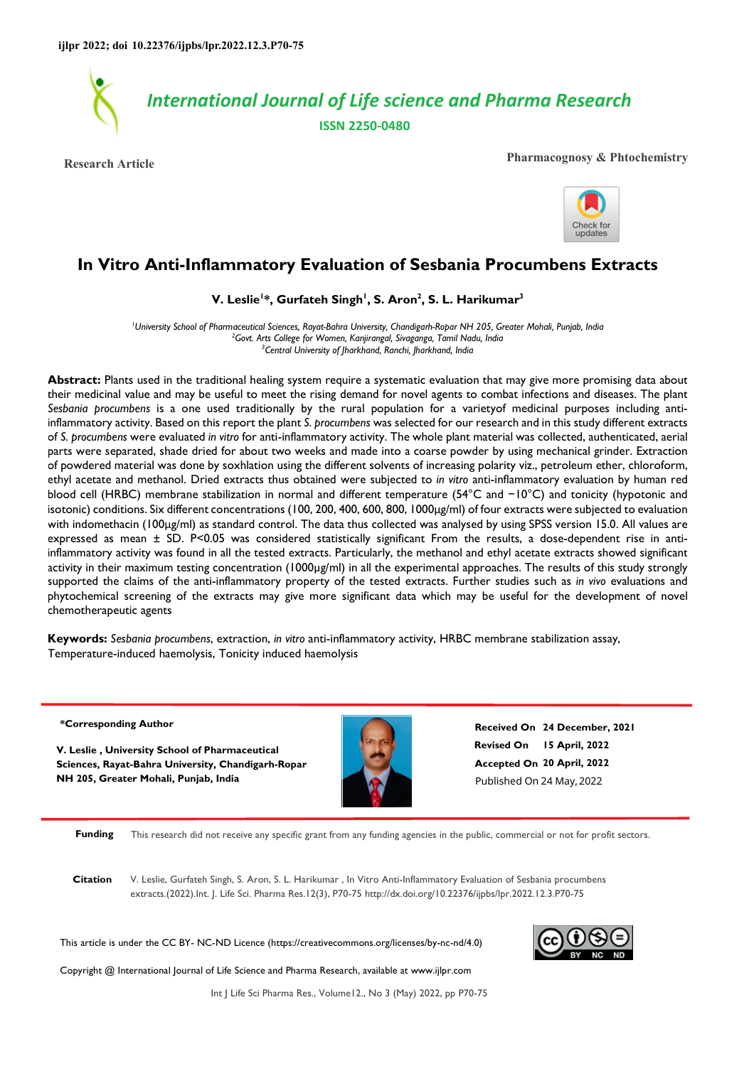

**Research Article Pharmacognosy & Phtochemistry**



# **In Vitro Anti-Inflammatory Evaluation of Sesbania Procumbens Extracts**

### **V. Leslie<sup>1</sup> \*, Gurfateh Singh<sup>1</sup> , S. Aron<sup>2</sup> , S. L. Harikumar<sup>3</sup>**

*<sup>1</sup>University School of Pharmaceutical Sciences, Rayat-Bahra University, Chandigarh-Ropar NH 205, Greater Mohali, Punjab, India <sup>2</sup>Govt. Arts College for Women, Kanjirangal, Sivaganga, Tamil Nadu, India <sup>3</sup>Central University of Jharkhand, Ranchi, Jharkhand, India* 

**Abstract:** Plants used in the traditional healing system require a systematic evaluation that may give more promising data about their medicinal value and may be useful to meet the rising demand for novel agents to combat infections and diseases. The plant *Sesbania procumbens* is a one used traditionally by the rural population for a varietyof medicinal purposes including antiinflammatory activity. Based on this report the plant *S. procumbens* was selected for our research and in this study different extracts of *S. procumbens* were evaluated *in vitro* for anti-inflammatory activity. The whole plant material was collected, authenticated, aerial parts were separated, shade dried for about two weeks and made into a coarse powder by using mechanical grinder. Extraction of powdered material was done by soxhlation using the different solvents of increasing polarity viz., petroleum ether, chloroform, ethyl acetate and methanol. Dried extracts thus obtained were subjected to *in vitro* anti-inflammatory evaluation by human red blood cell (HRBC) membrane stabilization in normal and different temperature (54°C and −10°C) and tonicity (hypotonic and isotonic) conditions. Six different concentrations (100, 200, 400, 600, 800, 1000μg/ml) of four extracts were subjected to evaluation with indomethacin (100μg/ml) as standard control. The data thus collected was analysed by using SPSS version 15.0. All values are expressed as mean ± SD. P<0.05 was considered statistically significant From the results, a dose-dependent rise in antiinflammatory activity was found in all the tested extracts. Particularly, the methanol and ethyl acetate extracts showed significant activity in their maximum testing concentration (1000µg/ml) in all the experimental approaches. The results of this study strongly supported the claims of the anti-inflammatory property of the tested extracts. Further studies such as *in vivo* evaluations and phytochemical screening of the extracts may give more significant data which may be useful for the development of novel chemotherapeutic agents

**Keywords:** *Sesbania procumbens*, extraction, *in vitro* anti-inflammatory activity, HRBC membrane stabilization assay, Temperature-induced haemolysis, Tonicity induced haemolysis

#### **\*Corresponding Author**

**V. Leslie , University School of Pharmaceutical Sciences, Rayat-Bahra University, Chandigarh-Ropar NH 205, Greater Mohali, Punjab, India**



**Revised On 15 April, 2022 Accepted On 20 April, 2022 Received On 24 December, 2021** Published On 24 May,2022

**Funding** This research did not receive any specific grant from any funding agencies in the public, commercial or not for profit sectors.

**Citation** V. Leslie, Gurfateh Singh, S. Aron, S. L. Harikumar , In Vitro Anti-Inflammatory Evaluation of Sesbania procumbens extracts.(2022).Int. J. Life Sci. Pharma Res.12(3), P70-75 http://dx.doi.org/10.22376/ijpbs/lpr.2022.12.3.P70-75

This article is under the CC BY- NC-ND Licence (https://creativecommons.org/licenses/by-nc-nd/4.0)



Copyright @ International Journal of Life Science and Pharma Research, available at www.ijlpr.com

Int J Life Sci Pharma Res., Volume12., No 3 (May) 2022, pp P70-75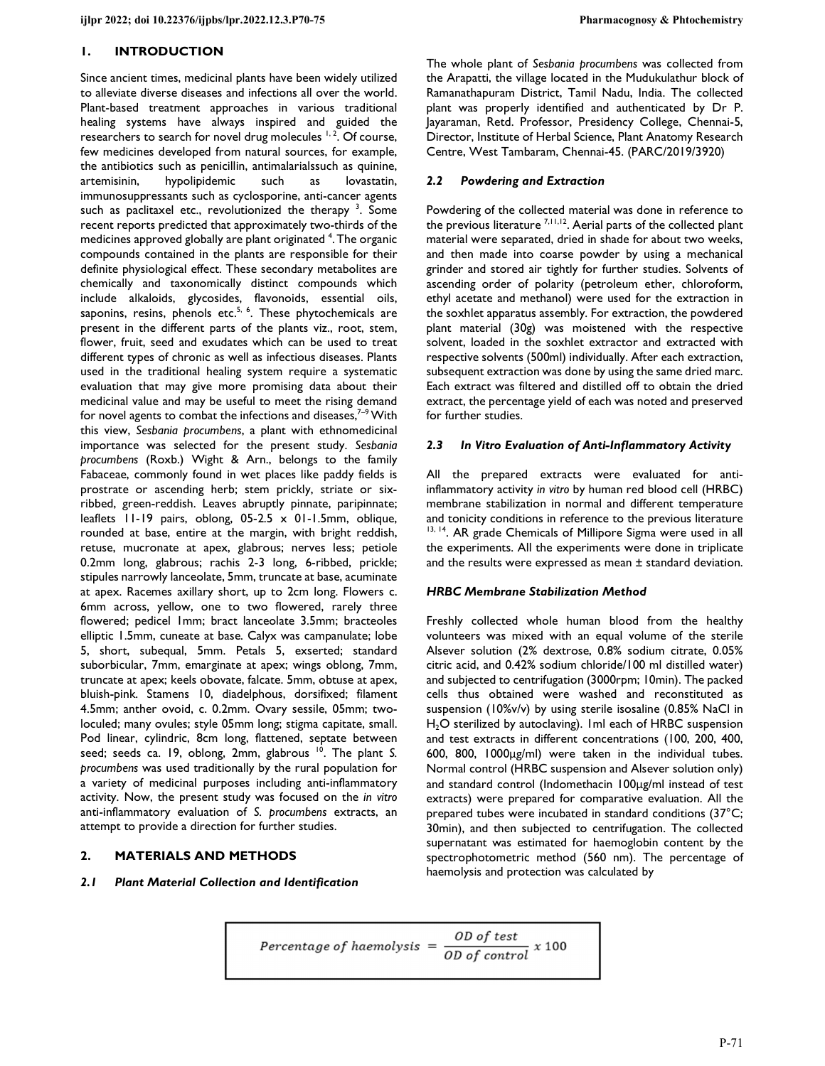#### **1. INTRODUCTION**

Since ancient times, medicinal plants have been widely utilized to alleviate diverse diseases and infections all over the world. Plant-based treatment approaches in various traditional healing systems have always inspired and guided the researchers to search for novel drug molecules <sup>1, 2</sup>. Of course, few medicines developed from natural sources, for example, the antibiotics such as penicillin, antimalarialssuch as quinine, artemisinin, hypolipidemic such as lovastatin, immunosuppressants such as cyclosporine, anti-cancer agents such as paclitaxel etc., revolutionized the therapy  $3$ . Some recent reports predicted that approximately two-thirds of the medicines approved globally are plant originated <sup>4</sup>. The organic compounds contained in the plants are responsible for their definite physiological effect. These secondary metabolites are chemically and taxonomically distinct compounds which include alkaloids, glycosides, flavonoids, essential oils, saponins, resins, phenols etc.<sup>5, 6</sup>. These phytochemicals are present in the different parts of the plants viz., root, stem, flower, fruit, seed and exudates which can be used to treat different types of chronic as well as infectious diseases. Plants used in the traditional healing system require a systematic evaluation that may give more promising data about their medicinal value and may be useful to meet the rising demand for novel agents to combat the infections and diseases, $7-9$  With this view, *Sesbania procumbens*, a plant with ethnomedicinal importance was selected for the present study. *Sesbania procumbens* (Roxb.) Wight & Arn., belongs to the family Fabaceae, commonly found in wet places like paddy fields is prostrate or ascending herb; stem prickly, striate or sixribbed, green-reddish. Leaves abruptly pinnate, paripinnate; leaflets 11-19 pairs, oblong, 05-2.5 x 01-1.5mm, oblique, rounded at base, entire at the margin, with bright reddish, retuse, mucronate at apex, glabrous; nerves less; petiole 0.2mm long, glabrous; rachis 2-3 long, 6-ribbed, prickle; stipules narrowly lanceolate, 5mm, truncate at base, acuminate at apex. Racemes axillary short, up to 2cm long. Flowers c. 6mm across, yellow, one to two flowered, rarely three flowered; pedicel 1mm; bract lanceolate 3.5mm; bracteoles elliptic 1.5mm, cuneate at base. Calyx was campanulate; lobe 5, short, subequal, 5mm. Petals 5, exserted; standard suborbicular, 7mm, emarginate at apex; wings oblong, 7mm, truncate at apex; keels obovate, falcate. 5mm, obtuse at apex, bluish-pink. Stamens 10, diadelphous, dorsifixed; filament 4.5mm; anther ovoid, c. 0.2mm. Ovary sessile, 05mm; twoloculed; many ovules; style 05mm long; stigma capitate, small. Pod linear, cylindric, 8cm long, flattened, septate between seed; seeds ca. 19, oblong, 2mm, glabrous <sup>10</sup>. The plant S. *procumbens* was used traditionally by the rural population for a variety of medicinal purposes including anti-inflammatory activity. Now, the present study was focused on the *in vitro* anti-inflammatory evaluation of *S. procumbens* extracts, an attempt to provide a direction for further studies.

#### **2. MATERIALS AND METHODS**

#### *2.1 Plant Material Collection and Identification*

The whole plant of *Sesbania procumbens* was collected from the Arapatti, the village located in the Mudukulathur block of Ramanathapuram District, Tamil Nadu, India. The collected plant was properly identified and authenticated by Dr P. Jayaraman, Retd. Professor, Presidency College, Chennai-5, Director, Institute of Herbal Science, Plant Anatomy Research Centre, West Tambaram, Chennai-45. (PARC/2019/3920)

#### *2.2 Powdering and Extraction*

Powdering of the collected material was done in reference to the previous literature  $^{7,11,12}$ . Aerial parts of the collected plant material were separated, dried in shade for about two weeks, and then made into coarse powder by using a mechanical grinder and stored air tightly for further studies. Solvents of ascending order of polarity (petroleum ether, chloroform, ethyl acetate and methanol) were used for the extraction in the soxhlet apparatus assembly. For extraction, the powdered plant material (30g) was moistened with the respective solvent, loaded in the soxhlet extractor and extracted with respective solvents (500ml) individually. After each extraction, subsequent extraction was done by using the same dried marc. Each extract was filtered and distilled off to obtain the dried extract, the percentage yield of each was noted and preserved for further studies.

#### *2.3 In Vitro Evaluation of Anti-Inflammatory Activity*

All the prepared extracts were evaluated for antiinflammatory activity *in vitro* by human red blood cell (HRBC) membrane stabilization in normal and different temperature and tonicity conditions in reference to the previous literature 13, 14. AR grade Chemicals of Millipore Sigma were used in all the experiments. All the experiments were done in triplicate and the results were expressed as mean ± standard deviation.

#### *HRBC Membrane Stabilization Method*

Freshly collected whole human blood from the healthy volunteers was mixed with an equal volume of the sterile Alsever solution (2% dextrose, 0.8% sodium citrate, 0.05% citric acid, and 0.42% sodium chloride/100 ml distilled water) and subjected to centrifugation (3000rpm; 10min). The packed cells thus obtained were washed and reconstituted as suspension (10%v/v) by using sterile isosaline (0.85% NaCl in H2O sterilized by autoclaving). 1ml each of HRBC suspension and test extracts in different concentrations (100, 200, 400, 600, 800, 1000μg/ml) were taken in the individual tubes. Normal control (HRBC suspension and Alsever solution only) and standard control (Indomethacin 100μg/ml instead of test extracts) were prepared for comparative evaluation. All the prepared tubes were incubated in standard conditions (37°C; 30min), and then subjected to centrifugation. The collected supernatant was estimated for haemoglobin content by the spectrophotometric method (560 nm). The percentage of haemolysis and protection was calculated by

$$
Percentage \ of \ haemolysis = \frac{OD \ of \ test}{OD \ of \ control} \ x \ 100
$$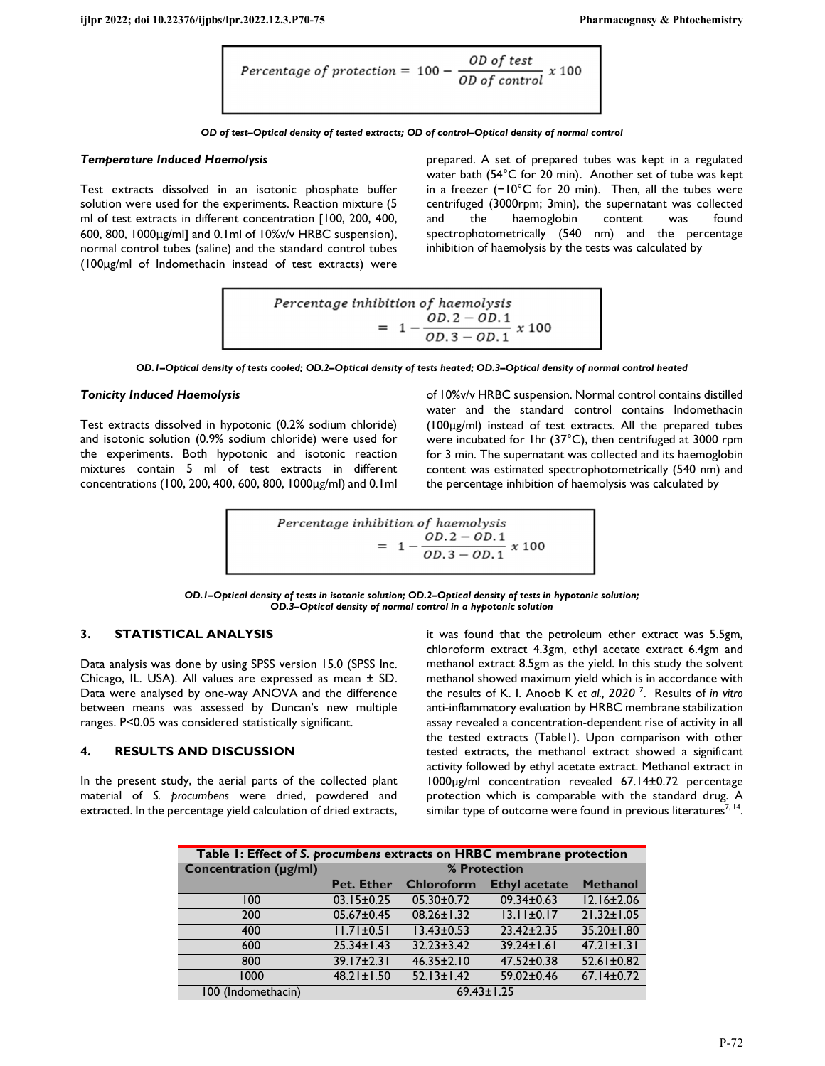Percentage of protection = 
$$
100 - \frac{OD \text{ of test}}{OD \text{ of control}}
$$
 x 100

*OD of test–Optical density of tested extracts; OD of control–Optical density of normal control* 

#### *Temperature Induced Haemolysis*

Test extracts dissolved in an isotonic phosphate buffer solution were used for the experiments. Reaction mixture (5 ml of test extracts in different concentration [100, 200, 400, 600, 800, 1000μg/ml] and 0.1ml of 10%v/v HRBC suspension), normal control tubes (saline) and the standard control tubes (100μg/ml of Indomethacin instead of test extracts) were prepared. A set of prepared tubes was kept in a regulated water bath (54°C for 20 min). Another set of tube was kept in a freezer (−10°C for 20 min). Then, all the tubes were centrifuged (3000rpm; 3min), the supernatant was collected and the haemoglobin content was found spectrophotometrically (540 nm) and the percentage inhibition of haemolysis by the tests was calculated by

$$
Percentage inhibition of haemolysis
$$
  
= 
$$
1 - \frac{OD.2 - OD.1}{OD.3 - OD.1} x 100
$$

*OD.1–Optical density of tests cooled; OD.2–Optical density of tests heated; OD.3–Optical density of normal control heated* 

#### *Tonicity Induced Haemolysis*

Test extracts dissolved in hypotonic (0.2% sodium chloride) and isotonic solution (0.9% sodium chloride) were used for the experiments. Both hypotonic and isotonic reaction mixtures contain 5 ml of test extracts in different concentrations (100, 200, 400, 600, 800, 1000μg/ml) and 0.1ml

of 10%v/v HRBC suspension. Normal control contains distilled water and the standard control contains Indomethacin (100μg/ml) instead of test extracts. All the prepared tubes were incubated for 1hr (37°C), then centrifuged at 3000 rpm for 3 min. The supernatant was collected and its haemoglobin content was estimated spectrophotometrically (540 nm) and the percentage inhibition of haemolysis was calculated by

$$
Percentage inhibition of haemolysis
$$
  
= 1 - 
$$
\frac{OD.2 - OD.1}{OD.3 - OD.1} x 100
$$

*OD.1–Optical density of tests in isotonic solution; OD.2–Optical density of tests in hypotonic solution; OD.3–Optical density of normal control in a hypotonic solution*

#### **3. STATISTICAL ANALYSIS**

Data analysis was done by using SPSS version 15.0 (SPSS Inc. Chicago, IL. USA). All values are expressed as mean ± SD. Data were analysed by one-way ANOVA and the difference between means was assessed by Duncan's new multiple ranges. P<0.05 was considered statistically significant.

#### **4. RESULTS AND DISCUSSION**

In the present study, the aerial parts of the collected plant material of *S. procumbens* were dried, powdered and extracted. In the percentage yield calculation of dried extracts, it was found that the petroleum ether extract was 5.5gm, chloroform extract 4.3gm, ethyl acetate extract 6.4gm and methanol extract 8.5gm as the yield. In this study the solvent methanol showed maximum yield which is in accordance with the results of K. I. Anoob K *et al., 2020* <sup>7</sup> . Results of *in vitro* anti-inflammatory evaluation by HRBC membrane stabilization assay revealed a concentration-dependent rise of activity in all the tested extracts (Table1). Upon comparison with other tested extracts, the methanol extract showed a significant activity followed by ethyl acetate extract. Methanol extract in 1000µg/ml concentration revealed 67.14±0.72 percentage protection which is comparable with the standard drug. A similar type of outcome were found in previous literatures $^{7,\,14}.$ 

| Table 1: Effect of S. procumbens extracts on HRBC membrane protection |                  |                   |                      |                  |  |  |  |  |
|-----------------------------------------------------------------------|------------------|-------------------|----------------------|------------------|--|--|--|--|
| <b>Concentration (µg/ml)</b>                                          | % Protection     |                   |                      |                  |  |  |  |  |
|                                                                       | Pet. Ether       | <b>Chloroform</b> | <b>Ethyl acetate</b> | <b>Methanol</b>  |  |  |  |  |
| 100                                                                   | $03.15 \pm 0.25$ | $05.30 \pm 0.72$  | $09.34 \pm 0.63$     | $12.16 \pm 2.06$ |  |  |  |  |
| 200                                                                   | $05.67 \pm 0.45$ | $08.26 \pm 1.32$  | $13.11 \pm 0.17$     | $21.32 \pm 1.05$ |  |  |  |  |
| 400                                                                   | $11.71 \pm 0.51$ | $13.43 \pm 0.53$  | $23.42 \pm 2.35$     | 35.20±1.80       |  |  |  |  |
| 600                                                                   | $25.34 \pm 1.43$ | $32.23 \pm 3.42$  | $39.24 \pm 1.61$     | $47.21 \pm 1.31$ |  |  |  |  |
| 800                                                                   | $39.17 \pm 2.31$ | $46.35 \pm 2.10$  | $47.52 \pm 0.38$     | $52.61 \pm 0.82$ |  |  |  |  |
| 1000                                                                  | $48.21 \pm 1.50$ | $52.13 \pm 1.42$  | $59.02 \pm 0.46$     | $67.14 \pm 0.72$ |  |  |  |  |
| 100 (Indomethacin)                                                    | $69.43 \pm 1.25$ |                   |                      |                  |  |  |  |  |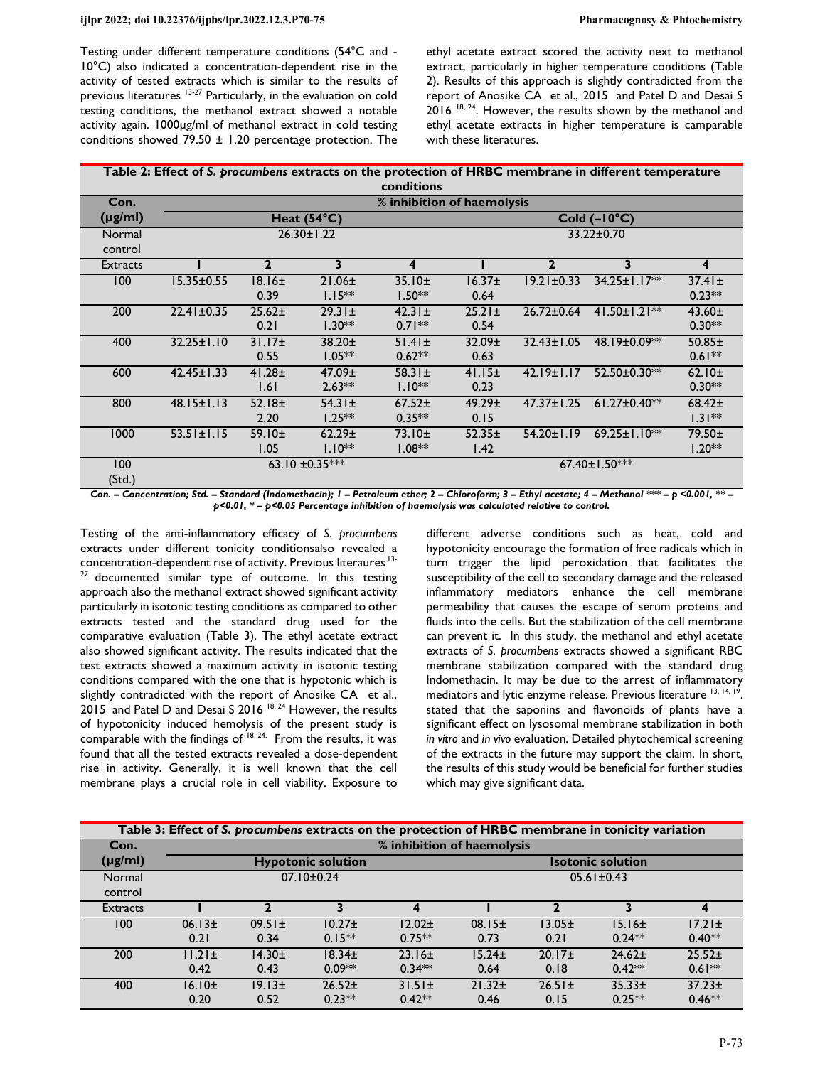Testing under different temperature conditions (54°C and - 10°C) also indicated a concentration-dependent rise in the activity of tested extracts which is similar to the results of previous literatures 13-27 Particularly, in the evaluation on cold testing conditions, the methanol extract showed a notable activity again. 1000µg/ml of methanol extract in cold testing conditions showed 79.50  $\pm$  1.20 percentage protection. The

ethyl acetate extract scored the activity next to methanol extract, particularly in higher temperature conditions (Table 2). Results of this approach is slightly contradicted from the report of Anosike CA et al., 2015 and Patel D and Desai S 2016<sup>18, 24</sup>. However, the results shown by the methanol and ethyl acetate extracts in higher temperature is camparable with these literatures.

| Table 2: Effect of S. procumbens extracts on the protection of HRBC membrane in different temperature |
|-------------------------------------------------------------------------------------------------------|
| conditions                                                                                            |

| Con.              | % inhibition of haemolysis |                            |                          |                         |                            |                  |                       |                         |
|-------------------|----------------------------|----------------------------|--------------------------|-------------------------|----------------------------|------------------|-----------------------|-------------------------|
| $(\mu g/ml)$      |                            |                            | Heat $(54^{\circ}C)$     |                         | $Cold (-10°C)$             |                  |                       |                         |
| Normal<br>control | $26.30 \pm 1.22$           |                            |                          |                         | 33.22±0.70                 |                  |                       |                         |
| <b>Extracts</b>   |                            | $\mathbf{2}$               | 3                        | 4                       |                            | $\mathbf{2}$     | 3                     | 4                       |
| 100               | $15.35 \pm 0.55$           | $18.16\pm$<br>0.39         | $21.06 \pm$<br>$1.15***$ | 35.10±<br>$1.50**$      | 16.37 <sub>±</sub><br>0.64 | $19.21 \pm 0.33$ | $34.25 \pm 1.17**$    | $37.41 \pm$<br>$0.23**$ |
| 200               | $22.41 \pm 0.35$           | $25.62+$<br>0.21           | $29.31 \pm$<br>$1.30**$  | $42.31 \pm$<br>$0.71**$ | $25.21 \pm$<br>0.54        | $26.72 \pm 0.64$ | $41.50 \pm 1.21$ **   | $43.60 \pm$<br>$0.30**$ |
| 400               | $32.25 \pm 1.10$           | 31.17 <sub>±</sub><br>0.55 | $38.20+$<br>$1.05**$     | $51.41 \pm$<br>$0.62**$ | 32.09 <sub>±</sub><br>0.63 | $32.43 \pm 1.05$ | 48.19±0.09**          | $50.85 \pm$<br>$0.61**$ |
| 600               | $42.45 \pm 1.33$           | $41.28 \pm$<br>1.61        | $47.09 \pm$<br>$2.63**$  | $58.31 \pm$<br>$1.10**$ | 41.15±<br>0.23             | $42.19 \pm 1.17$ | 52.50±0.30**          | 62.10 $\pm$<br>$0.30**$ |
| 800               | $48.15 \pm 1.13$           | 52.18±<br>2.20             | $54.31 \pm$<br>$1.25***$ | $67.52 \pm$<br>$0.35**$ | 49.29±<br>0.15             | $47.37 \pm 1.25$ | $61.27 \pm 0.40$ **   | $68.42+$<br>$1.31**$    |
| 1000              | $53.51 \pm 1.15$           | 59.10±<br>1.05             | 62.29±<br>$1.10**$       | 73.10±<br>$1.08**$      | $52.35 \pm$<br>1.42        | 54.20±1.19       | $69.25 \pm 1.10^{**}$ | 79.50±<br>$1.20**$      |
| 100<br>(Std.)     |                            |                            | 63.10 $\pm$ 0.35***      |                         |                            |                  | 67.40±1.50***         |                         |

*Con. – Concentration; Std. – Standard (Indomethacin); 1 – Petroleum ether; 2 – Chloroform; 3 – Ethyl acetate; 4 – Methanol \*\*\* – p <0.001, \*\* – p<0.01, \* – p<0.05 Percentage inhibition of haemolysis was calculated relative to control.* 

Testing of the anti-inflammatory efficacy of *S. procumbens* extracts under different tonicity conditionsalso revealed a concentration-dependent rise of activity. Previous literaures 13-  $27$  documented similar type of outcome. In this testing approach also the methanol extract showed significant activity particularly in isotonic testing conditions as compared to other extracts tested and the standard drug used for the comparative evaluation (Table 3). The ethyl acetate extract also showed significant activity. The results indicated that the test extracts showed a maximum activity in isotonic testing conditions compared with the one that is hypotonic which is slightly contradicted with the report of Anosike CA et al., 2015 and Patel D and Desai S 2016<sup>18, 24</sup> However, the results of hypotonicity induced hemolysis of the present study is comparable with the findings of  $18, 24$ . From the results, it was found that all the tested extracts revealed a dose-dependent rise in activity. Generally, it is well known that the cell membrane plays a crucial role in cell viability. Exposure to

different adverse conditions such as heat, cold and hypotonicity encourage the formation of free radicals which in turn trigger the lipid peroxidation that facilitates the susceptibility of the cell to secondary damage and the released inflammatory mediators enhance the cell membrane permeability that causes the escape of serum proteins and fluids into the cells. But the stabilization of the cell membrane can prevent it. In this study, the methanol and ethyl acetate extracts of *S. procumbens* extracts showed a significant RBC membrane stabilization compared with the standard drug Indomethacin. It may be due to the arrest of inflammatory mediators and lytic enzyme release. Previous literature <sup>13, 14, 19</sup>. stated that the saponins and flavonoids of plants have a significant effect on lysosomal membrane stabilization in both *in vitro* and *in vivo* evaluation. Detailed phytochemical screening of the extracts in the future may support the claim. In short, the results of this study would be beneficial for further studies which may give significant data.

| Table 3: Effect of S. procumbens extracts on the protection of HRBC membrane in tonicity variation |                            |             |             |                    |                          |                    |             |             |
|----------------------------------------------------------------------------------------------------|----------------------------|-------------|-------------|--------------------|--------------------------|--------------------|-------------|-------------|
| Con.                                                                                               | % inhibition of haemolysis |             |             |                    |                          |                    |             |             |
| $(\mu g/ml)$                                                                                       | <b>Hypotonic solution</b>  |             |             |                    | <b>Isotonic solution</b> |                    |             |             |
| Normal                                                                                             | $07.10 \pm 0.24$           |             |             |                    | $05.61 \pm 0.43$         |                    |             |             |
| control                                                                                            |                            |             |             |                    |                          |                    |             |             |
| <b>Extracts</b>                                                                                    |                            |             |             | 4                  |                          |                    |             | $\epsilon$  |
| 100                                                                                                | 06.13±                     | $09.51 \pm$ | $10.27 \pm$ | 12.02 <sub>±</sub> | 08.15±                   | 13.05 <sub>±</sub> | 15.16±      | $17.21 \pm$ |
|                                                                                                    | 0.21                       | 0.34        | $0.15***$   | $0.75***$          | 0.73                     | 0.21               | $0.24**$    | $0.40**$    |
| 200                                                                                                | $11.21 \pm$                | $14.30+$    | $18.34 \pm$ | 23.16±             | $15.24 \pm$              | 20.17±             | $24.62 \pm$ | $25.52+$    |
|                                                                                                    | 0.42                       | 0.43        | $0.09**$    | $0.34**$           | 0.64                     | 0.18               | $0.42**$    | $0.61***$   |
| 400                                                                                                | 16.10±                     | 19.13±      | $26.52+$    | $31.51 \pm$        | $21.32 \pm$              | $26.51 \pm$        | $35.33 \pm$ | $37.23 \pm$ |
|                                                                                                    | 0.20                       | 0.52        | $0.23**$    | $0.42**$           | 0.46                     | 0.15               | $0.25**$    | $0.46**$    |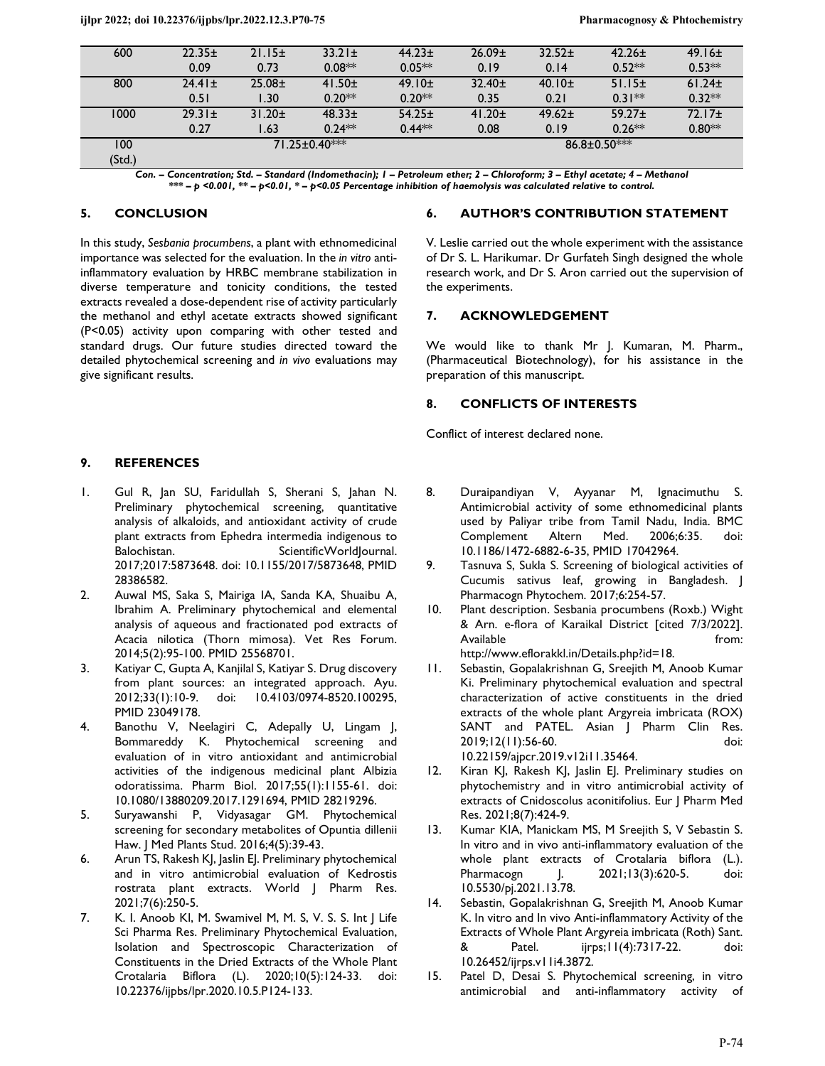| 600           | $22.35 \pm$          | 21.15±      | $33.21 \pm$ | $44.23 \pm$ | $26.09 \pm$      | $32.52+$    | $42.26 \pm$ | 49.16±             |
|---------------|----------------------|-------------|-------------|-------------|------------------|-------------|-------------|--------------------|
|               | 0.09                 | 0.73        | $0.08**$    | $0.05**$    | 0.19             | 0.14        | $0.52**$    | $0.53**$           |
| 800           | $24.41 \pm$          | $25.08 +$   | $41.50 \pm$ | 49.10±      | $32.40 \pm$      | 40.10±      | 51.15±      | 61.24 <sub>±</sub> |
|               | 0.51                 | .30         | $0.20**$    | $0.20**$    | 0.35             | 0.21        | $0.31**$    | $0.32**$           |
| 1000          | $29.31 \pm$          | $31.20 \pm$ | $48.33 \pm$ | $54.25 \pm$ | $41.20 \pm$      | $49.62 \pm$ | $59.27 \pm$ | 72.17±             |
|               | 0.27                 | .63         | $0.24**$    | $0.44**$    | 0.08             | 0.19        | $0.26**$    | $0.80**$           |
| 100<br>(Std.) | $71.25 \pm 0.40$ *** |             |             |             | $86.8 + 0.50***$ |             |             |                    |

*Con. – Concentration; Std. – Standard (Indomethacin); 1 – Petroleum ether; 2 – Chloroform; 3 – Ethyl acetate; 4 – Methanol \*\*\* – p <0.001, \*\* – p<0.01, \* – p<0.05 Percentage inhibition of haemolysis was calculated relative to control.* 

# **5. CONCLUSION**

In this study, *Sesbania procumbens*, a plant with ethnomedicinal importance was selected for the evaluation. In the *in vitro* antiinflammatory evaluation by HRBC membrane stabilization in diverse temperature and tonicity conditions, the tested extracts revealed a dose-dependent rise of activity particularly the methanol and ethyl acetate extracts showed significant (P<0.05) activity upon comparing with other tested and standard drugs. Our future studies directed toward the detailed phytochemical screening and *in vivo* evaluations may give significant results.

## **9. REFERENCES**

- 1. Gul R, Jan SU, Faridullah S, Sherani S, Jahan N. Preliminary phytochemical screening, quantitative analysis of alkaloids, and antioxidant activity of crude plant extracts from Ephedra intermedia indigenous to Balochistan. ScientificWorldlournal. 2017;2017:5873648. doi: 10.1155/2017/5873648, PMID 28386582.
- 2. Auwal MS, Saka S, Mairiga IA, Sanda KA, Shuaibu A, Ibrahim A. Preliminary phytochemical and elemental analysis of aqueous and fractionated pod extracts of Acacia nilotica (Thorn mimosa). Vet Res Forum. 2014;5(2):95-100. PMID 25568701.
- 3. Katiyar C, Gupta A, Kanjilal S, Katiyar S. Drug discovery from plant sources: an integrated approach. Ayu. 2012;33(1):10-9. doi: 10.4103/0974-8520.100295, PMID 23049178.
- 4. Banothu V, Neelagiri C, Adepally U, Lingam J, Bommareddy K. Phytochemical screening and evaluation of in vitro antioxidant and antimicrobial activities of the indigenous medicinal plant Albizia odoratissima. Pharm Biol. 2017;55(1):1155-61. doi: 10.1080/13880209.2017.1291694, PMID 28219296.
- 5. Suryawanshi P, Vidyasagar GM. Phytochemical screening for secondary metabolites of Opuntia dillenii Haw. J Med Plants Stud. 2016;4(5):39-43.
- 6. Arun TS, Rakesh KJ, Jaslin EJ. Preliminary phytochemical and in vitro antimicrobial evaluation of Kedrostis rostrata plant extracts. World J Pharm Res. 2021;7(6):250-5.
- 7. K. I. Anoob KI, M. Swamivel M, M. S, V. S. S. Int J Life Sci Pharma Res. Preliminary Phytochemical Evaluation, Isolation and Spectroscopic Characterization of Constituents in the Dried Extracts of the Whole Plant Crotalaria Biflora (L). 2020;10(5):124-33. doi: 10.22376/ijpbs/lpr.2020.10.5.P124-133.

### **6. AUTHOR'S CONTRIBUTION STATEMENT**

V. Leslie carried out the whole experiment with the assistance of Dr S. L. Harikumar. Dr Gurfateh Singh designed the whole research work, and Dr S. Aron carried out the supervision of the experiments.

## **7. ACKNOWLEDGEMENT**

We would like to thank Mr J. Kumaran, M. Pharm., (Pharmaceutical Biotechnology), for his assistance in the preparation of this manuscript.

## **8. CONFLICTS OF INTERESTS**

Conflict of interest declared none.

- 8. Duraipandiyan V, Ayyanar M, Ignacimuthu S. Antimicrobial activity of some ethnomedicinal plants used by Paliyar tribe from Tamil Nadu, India. BMC Complement Altern Med. 2006;6:35. doi: 10.1186/1472-6882-6-35, PMID 17042964.
- 9. Tasnuva S, Sukla S. Screening of biological activities of Cucumis sativus leaf, growing in Bangladesh. J Pharmacogn Phytochem. 2017;6:254-57.
- 10. Plant description. Sesbania procumbens (Roxb.) Wight & Arn. e-flora of Karaikal District [cited 7/3/2022]. Available from: http://www.eflorakkl.in/Details.php?id=18.
- 11. Sebastin, Gopalakrishnan G, Sreejith M, Anoob Kumar Ki. Preliminary phytochemical evaluation and spectral characterization of active constituents in the dried extracts of the whole plant Argyreia imbricata (ROX) SANT and PATEL. Asian J Pharm Clin Res. 2019;12(11):56-60. doi: 10.22159/ajpcr.2019.v12i11.35464.
- 12. Kiran KJ, Rakesh KJ, Jaslin EJ. Preliminary studies on phytochemistry and in vitro antimicrobial activity of extracts of Cnidoscolus aconitifolius. Eur J Pharm Med Res. 2021;8(7):424-9.
- 13. Kumar KIA, Manickam MS, M Sreejith S, V Sebastin S. In vitro and in vivo anti-inflammatory evaluation of the whole plant extracts of Crotalaria biflora (L.). Pharmacogn J. 2021;13(3):620-5. doi: 10.5530/pj.2021.13.78.
- 14. Sebastin, Gopalakrishnan G, Sreejith M, Anoob Kumar K. In vitro and In vivo Anti-inflammatory Activity of the Extracts of Whole Plant Argyreia imbricata (Roth) Sant. & Patel. ijrps;11(4):7317-22. doi: 10.26452/ijrps.v11i4.3872.
- 15. Patel D, Desai S. Phytochemical screening, in vitro antimicrobial and anti-inflammatory activity of